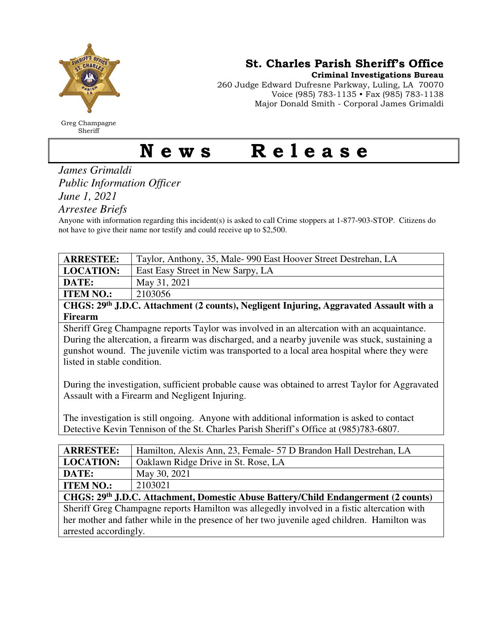

Greg Champagne Sheriff

St. Charles Parish Sheriff's Office

Criminal Investigations Bureau

260 Judge Edward Dufresne Parkway, Luling, LA 70070 Voice (985) 783-1135 • Fax (985) 783-1138 Major Donald Smith - Corporal James Grimaldi

## News Release

*James Grimaldi Public Information Officer June 1, 2021* 

*Arrestee Briefs* 

Anyone with information regarding this incident(s) is asked to call Crime stoppers at 1-877-903-STOP. Citizens do not have to give their name nor testify and could receive up to \$2,500.

| <b>ARRESTEE:</b> | Taylor, Anthony, 35, Male-990 East Hoover Street Destrehan, LA |
|------------------|----------------------------------------------------------------|
| <b>LOCATION:</b> | East Easy Street in New Sarpy, LA                              |
| <b>DATE:</b>     | May 31, 2021                                                   |
| <b>ITEM NO.:</b> | 2103056                                                        |
|                  |                                                                |

**CHGS: 29th J.D.C. Attachment (2 counts), Negligent Injuring, Aggravated Assault with a Firearm** 

Sheriff Greg Champagne reports Taylor was involved in an altercation with an acquaintance. During the altercation, a firearm was discharged, and a nearby juvenile was stuck, sustaining a gunshot wound. The juvenile victim was transported to a local area hospital where they were listed in stable condition.

During the investigation, sufficient probable cause was obtained to arrest Taylor for Aggravated Assault with a Firearm and Negligent Injuring.

The investigation is still ongoing. Anyone with additional information is asked to contact Detective Kevin Tennison of the St. Charles Parish Sheriff's Office at (985)783-6807.

| <b>ARRESTEE:</b>                                                                            | Hamilton, Alexis Ann, 23, Female- 57 D Brandon Hall Destrehan, LA |
|---------------------------------------------------------------------------------------------|-------------------------------------------------------------------|
| <b>LOCATION:</b>                                                                            | Oaklawn Ridge Drive in St. Rose, LA                               |
| DATE:                                                                                       | May 30, 2021                                                      |
| <b>ITEM NO.:</b>                                                                            | 2103021                                                           |
| CHGS: 29th J.D.C. Attachment, Domestic Abuse Battery/Child Endangerment (2 counts)          |                                                                   |
| Sheriff Greg Champagne reports Hamilton was allegedly involved in a fistic altercation with |                                                                   |
| her mother and father while in the presence of her two juvenile aged children. Hamilton was |                                                                   |
| arrested accordingly.                                                                       |                                                                   |
|                                                                                             |                                                                   |